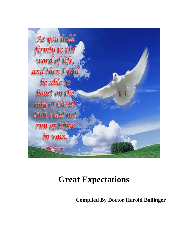

# **Great Expectations**

**Compiled By Doctor Harold Bollinger**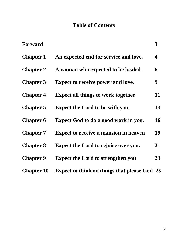# **Table of Contents**

| Forward           |                                                     | $\boldsymbol{3}$ |
|-------------------|-----------------------------------------------------|------------------|
| <b>Chapter 1</b>  | An expected end for service and love.               | 4                |
| <b>Chapter 2</b>  | A woman who expected to be healed.                  | 6                |
| <b>Chapter 3</b>  | <b>Expect to receive power and love.</b>            | 9                |
| <b>Chapter 4</b>  | <b>Expect all things to work together</b>           | 11               |
| <b>Chapter 5</b>  | <b>Expect the Lord to be with you.</b>              | 13               |
| <b>Chapter 6</b>  | <b>Expect God to do a good work in you.</b>         | 16               |
| <b>Chapter 7</b>  | <b>Expect to receive a mansion in heaven</b>        | 19               |
| <b>Chapter 8</b>  | <b>Expect the Lord to rejoice over you.</b>         | 21               |
| <b>Chapter 9</b>  | <b>Expect the Lord to strengthen you</b>            | 23               |
| <b>Chapter 10</b> | <b>Expect to think on things that please God 25</b> |                  |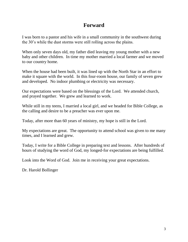### **Forward**

I was born to a pastor and his wife in a small community in the southwest during the 30's while the dust storms were still rolling across the plains.

When only seven days old, my father died leaving my young mother with a new baby and other children. In time my mother married a local farmer and we moved to our country home.

When the house had been built, it was lined up with the North Star in an effort to make it square with the world. In this four-room house, our family of seven grew and developed. No indoor plumbing or electricity was necessary.

Our expectations were based on the blessings of the Lord. We attended church, and prayed together. We grew and learned to work.

While still in my teens, I married a local girl, and we headed for Bible College, as the calling and desire to be a preacher was ever upon me.

Today, after more than 60 years of ministry, my hope is still in the Lord.

My expectations are great. The opportunity to attend school was given to me many times, and I learned and grew.

Today, I write for a Bible College in preparing text and lessons. After hundreds of hours of studying the word of God, my longed-for expectations are being fulfilled.

Look into the Word of God. Join me in receiving your great expectations.

Dr. Harold Bollinger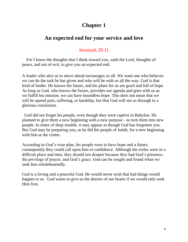### **An expected end for your service and love**

#### Jeremiah 29:11

 For I know the thoughts that I think toward you, saith the Lord, thoughts of peace, and not of evil, to give you an expected end.

A leader who stirs us to move ahead encourages us all. We want one who believes we can do the task he has given and who will be with us all the way. God is that kind of leader. He knows the future, and his plans for us are good and full of hope. As long as God, who knows the future, provides our agenda and goes with us as we fulfill his mission, we can have boundless hope. This does not mean that we will be spared pain, suffering, or hardship, but that God will see us through to a glorious conclusion.

God did not forget his people, even though they were captive in Babylon. He planned to give them a new beginning with a new purpose—to turn them into new people. In times of deep trouble, it may appear as though God has forgotten you. But God may be preparing you, as he did the people of Judah, for a new beginning with him at the center.

According to God's wise plan, his people were to have hope and a future; consequently they could call upon him in confidence. Although the exiles were in a difficult place and time, they should not despair because they had God's presence, the privilege of prayer, and God's grace. God can be sought and found when we seek him wholeheartedly.

God is a loving and a peaceful God, He would never wish that bad things would happen to us. God wants to give us the desires of our hearts if we would only seek Him first.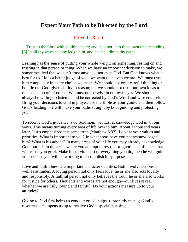#### **Expect Your Path to be Directed by the Lord**

#### Proverbs 3:5-6

 Trust in the Lord with all thine heart; and lean not unto thine own understanding. [6] In all thy ways acknowledge him, and he shall direct thy paths.

Leaning has the sense of putting your whole weight on something, resting on and trusting in that person or thing. When we have an important decision to make, we sometimes feel that we can't trust anyone—not even God. But God knows what is best for us. He is a better judge of what we want than even we are! We must trust him completely in every choice we make. We should not omit careful thinking or belittle our God-given ability to reason; but we should not trust our own ideas to the exclusion of all others. We must not be wise in our own eyes. We should always be willing to listen to and be corrected by God's Word and wise counselors. Bring your decisions to God in prayer; use the Bible as your guide; and then follow God's leading. He will make your paths straight by both guiding and protecting you.

To receive God's guidance, said Solomon, we must acknowledge God in all our ways. This means turning every area of life over to him. About a thousand years later, Jesus emphasized this same truth (Matthew 6:33). Look at your values and priorities. What is important to you? In what areas have you not acknowledged him? What is his advice? In many areas of your life you may already acknowledge God, but it is in the areas where you attempt to restrict or ignore his influence that will cause you grief. Make him a vital part of everything you do; then he will guide you because you will be working to accomplish his purposes.

Love and faithfulness are important character qualities. Both involve actions as well as attitudes. A loving person not only feels love; he or she also acts loyally and responsibly. A faithful person not only believes the truth; he or she also works for justice for others. Thoughts and words are not enough—our lives reveal whether we are truly loving and faithful. Do your actions measure up to your attitudes?

Giving to God first helps us conquer greed, helps us properly manage God's resources, and opens us up to receive God's special blessing.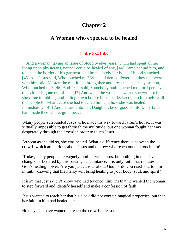#### **A Woman who expected to be healed**

#### **Luke 8:43-48**

 And a woman having an issue of blood twelve years, which had spent all her living upon physicians, neither could be healed of any, [44] Came behind him, and touched the border of his garment: and immediately her issue of blood stanched. [45] And Jesus said, Who touched me? When all denied, Peter and they that were with him said, Master, the multitude throng thee and press thee, and sayest thou, Who touched me? [46] And Jesus said, Somebody hath touched me: for I perceive that virtue is gone out of me. [47] And when the woman saw that she was not hid, she came trembling, and falling down before him, she declared unto him before all the people for what cause she had touched him and how she was healed immediately. [48] And he said unto her, Daughter, be of good comfort: thy faith hath made thee whole; go in peace.

Many people surrounded Jesus as he made his way toward Jairus's house. It was virtually impossible to get through the multitude, but one woman fought her way desperately through the crowd in order to touch Jesus.

As soon as she did so, she was healed. What a difference there is between the crowds which are curious about Jesus and the few who reach out and touch him!

Today, many people are vaguely familiar with Jesus, but nothing in their lives is changed or bettered by this passing acquaintance. It is only faith that releases God's healing power. Are you just curious about God, or do you reach out to him in faith, knowing that his mercy will bring healing to your body, soul, and spirit?

It isn't that Jesus didn't know who had touched him; it's that he wanted the woman to step forward and identify herself and make a confession of faith.

Jesus wanted to teach her that his cloak did not contain magical properties, but that her faith in him had healed her.

He may also have wanted to teach the crowds a lesson.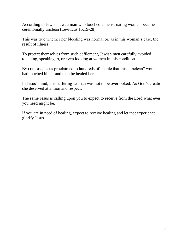According to Jewish law, a man who touched a menstruating woman became ceremonially unclean (Leviticus 15:19-28).

This was true whether her bleeding was normal or, as in this woman's case, the result of illness.

To protect themselves from such defilement, Jewish men carefully avoided touching, speaking to, or even looking at women in this condition..

By contrast, Jesus proclaimed to hundreds of people that this "unclean" woman had touched him—and then he healed her.

In Jesus' mind, this suffering woman was not to be overlooked. As God's creation, she deserved attention and respect.

The same Jesus is calling upon you to expect to receive from the Lord what ever you need might be.

If you are in need of healing, expect to receive healing and let that experience glorify Jesus.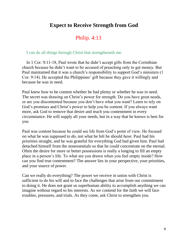### **Expect to Receive Strength from God**

### Philip. 4:13

I can do all things through Christ that strengtheneth me.

 In 1 Cor. 9:11-18, Paul wrote that he didn't accept gifts from the Corinthian church because he didn't want to be accused of preaching only to get money. But Paul maintained that it was a church's responsibility to support God's ministers (1 Cor. 9:14). He accepted the Philippians' gift because they gave it willingly and because he was in need.

Paul knew how to be content whether he had plenty or whether he was in need. The secret was drawing on Christ's power for strength. Do you have great needs, or are you discontented because you don't have what you want? Learn to rely on God's promises and Christ's power to help you be content. If you always want more, ask God to remove that desire and teach you contentment in every circumstance. He will supply all your needs, but in a way that he knows is best for you

Paul was content because he could see life from God's point of view. He focused on what he was supposed to *do,* not what he felt he should *have.* Paul had his priorities straight, and he was grateful for everything God had given him. Paul had detached himself from the nonessentials so that he could concentrate on the eternal. Often the desire for more or better possessions is really a longing to fill an empty place in a person's life. To what are you drawn when you feel empty inside? How can you find true contentment? The answer lies in your perspective, your priorities, and your source of power.

Can we really do everything? The power we receive in union with Christ is sufficient to do his will and to face the challenges that arise from our commitment to doing it. He does not grant us superhuman ability to accomplish anything we can imagine without regard to his interests. As we contend for the faith we will face troubles, pressures, and trials. As they come, ask Christ to strengthen you.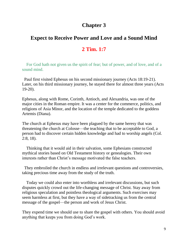### **Expect to Receive Power and Love and a Sound Mind**

### **2 Tim. 1:7**

 For God hath not given us the spirit of fear; but of power, and of love, and of a sound mind.

 Paul first visited Ephesus on his second missionary journey (Acts 18:19-21). Later, on his third missionary journey, he stayed there for almost three years (Acts 19-20).

Ephesus, along with Rome, Corinth, Antioch, and Alexandria, was one of the major cities in the Roman empire. It was a center for the commerce, politics, and religions of Asia Minor, and the location of the temple dedicated to the goddess Artemis (Diana).

The church at Ephesus may have been plagued by the same heresy that was threatening the church at Colosse—the teaching that to be acceptable to God, a person had to discover certain hidden knowledge and had to worship angels (Col. 2:8, 18).

Thinking that it would aid in their salvation, some Ephesians constructed mythical stories based on Old Testament history or genealogies. Their own interests rather than Christ's message motivated the false teachers.

 They embroiled the church in endless and irrelevant questions and controversies, taking precious time away from the study of the truth.

Today we could also enter into worthless and irrelevant discussions, but such disputes quickly crowd out the life-changing message of Christ. Stay away from religious speculation and pointless theological arguments. Such exercises may seem harmless at first, but they have a way of sidetracking us from the central message of the gospel—the person and work of Jesus Christ.

They expend time we should use to share the gospel with others. You should avoid anything that keeps you from doing God's work.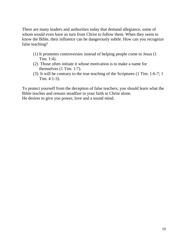There are many leaders and authorities today that demand allegiance, some of whom would even have us turn from Christ to follow them. When they seem to know the Bible, their influence can be dangerously subtle. How can you recognize false teaching?

- (1) It promotes controversies instead of helping people come to Jesus (1 Tim. 1:4).
- (2) Those often initiate it whose motivation is to make a name for themselves (1 Tim. 1:7).
- (3) It will be contrary to the true teaching of the Scriptures (1 Tim. 1:6-7; 1 Tim. 4:1-3).

To protect yourself from the deception of false teachers, you should learn what the Bible teaches and remain steadfast in your faith in Christ alone. He desires to give you power, love and a sound mind.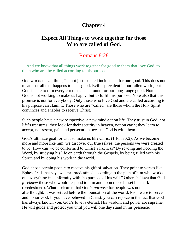### **Expect All Things to work together for those Who are called of God.**

#### Romans 8:28

 And we know that all things work together for good to them that love God, to them who are the called according to his purpose.

God works in "all things"—not just isolated incidents—for our good. This does not mean that all that happens to us is good. Evil is prevalent in our fallen world, but God is able to turn every circumstance around for our long-range good. Note that God is not working to make us happy, but to fulfill his purpose. Note also that this promise is not for everybody. Only those who love God and are called according to his purpose can claim it. Those who are "called" are those whom the Holy Spirit convinces and enables to receive Christ.

Such people have a new perspective, a new mind-set on life. They trust in God, not life's treasures; they look for their security in heaven, not on earth; they learn to accept, not resent, pain and persecution because God is with them.

God's ultimate goal for us is to make us like Christ (1 John 3:2). As we become more and more like him, we discover our true selves, the persons we were created to be. How can we be conformed to Christ's likeness? By reading and heeding the Word, by studying his life on earth through the Gospels, by being filled with his Spirit, and by doing his work in the world.

God chose certain people to receive his gift of salvation. They point to verses like Ephes. 1:11 that says we are "predestined according to the plan of him who works out everything in conformity with the purpose of his will." Others believe that God *foreknew* those who would respond to him and upon those he set his mark (predestined). What is clear is that God's *purpose* for people was not an afterthought; it was settled before the foundation of the world. People are to serve and honor God. If you have believed in Christ, you can rejoice in the fact that God has always known you. God's love is eternal. His wisdom and power are supreme. He will guide and protect you until you will one day stand in his presence.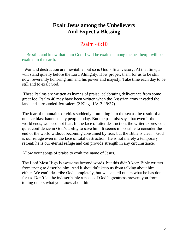### **Exalt Jesus among the Unbelievers And Expect a Blessing**

### Psalm 46:10

 Be still, and know that I am God: I will be exalted among the heathen; I will be exalted in the earth.

 War and destruction are inevitable, but so is God's final victory. At that time, all will stand quietly before the Lord Almighty. How proper, then, for us to be still now, reverently honoring him and his power and majesty. Take time each day to be still and to exalt God.

These Psalms are written as hymns of praise, celebrating deliverance from some great foe. Psalm 46 may have been written when the Assyrian army invaded the land and surrounded Jerusalem (2 Kings 18:13-19:37).

The fear of mountains or cities suddenly crumbling into the sea as the result of a nuclear blast haunts many people today. But the psalmist says that even if the world ends, we need not fear. In the face of utter destruction, the writer expressed a quiet confidence in God's ability to save him. It seems impossible to consider the end of the world without becoming consumed by fear, but the Bible is clear—God is our refuge even in the face of total destruction. He is not merely a temporary retreat; he is our eternal refuge and can provide strength in any circumstance.

Allow your songs of praise to exalt the name of Jesus.

The Lord Most High is awesome beyond words, but this didn't keep Bible writers from trying to describe him. And it shouldn't keep us from talking about him either. We can't describe God completely, but we can tell others what he has done for us. Don't let the indescribable aspects of God's greatness prevent you from telling others what you know about him.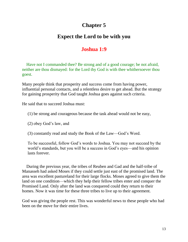### **Expect the Lord to be with you**

### **Joshua 1:9**

 Have not I commanded thee? Be strong and of a good courage; be not afraid, neither are thou dismayed: for the Lord thy God is with thee whithersoever thou goest.

Many people think that prosperity and success come from having power, influential personal contacts, and a relentless desire to get ahead. But the strategy for gaining prosperity that God taught Joshua goes against such criteria.

He said that to succeed Joshua must:

- (1) be strong and courageous because the task ahead would not be easy,
- (2) obey God's law, and
- (3) constantly read and study the Book of the Law—God's Word.

To be successful, follow God's words to Joshua. You may not succeed by the world's standards, but you will be a success in God's eyes—and his opinion lasts forever.

 During the previous year, the tribes of Reuben and Gad and the half-tribe of Manasseh had asked Moses if they could settle just east of the promised land. The area was excellent pastureland for their large flocks. Moses agreed to give them the land on one condition—which they help their fellow tribes enter and conquer the Promised Land. Only after the land was conquered could they return to their homes. Now it was time for these three tribes to live up to their agreement.

God was giving the people rest. This was wonderful news to these people who had been on the move for their entire lives.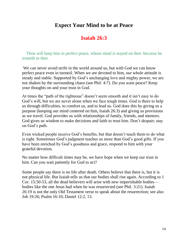#### **Expect Your Mind to be at Peace**

### **Isaiah 26:3**

 Thou will keep him in perfect peace, whose mind is stayed on thee: because he trusteth in thee.

We can never avoid strife in the world around us, but with God we can know perfect peace even in turmoil. When we are devoted to him, our whole attitude is steady and stable. Supported by God's unchanging love and mighty power, we are not shaken by the surrounding chaos (see Phil. 4:7). Do you want peace? Keep your thoughts on and your trust in God.

At times the "path of the righteous" doesn't seem smooth and it isn't easy to do God's will, but we are never alone when we face tough times. God is there to help us through difficulties, to comfort us, and to lead us. God does this by giving us a purpose (keeping our mind centered on him, Isaiah 26:3) and giving us provisions as we travel. God provides us with relationships of family, friends, and mentors. God gives us wisdom to make decisions and faith to trust him. Don't despair; stay on God's path.

Even wicked people receive God's benefits, but that doesn't teach them to do what is right. Sometimes God's judgment teaches us more than God's good gifts. If you have been enriched by God's goodness and grace, respond to him with your grateful devotion.

No matter how difficult times may be, we have hope when we keep our trust in him. Can you wait patiently for God to act?

Some people say there is no life after death. Others believe that there is, but it is not physical life. But Isaiah tells us that our bodies shall rise again. According to 1 Cor. 15:50-53, all the dead believers will arise with new imperishable bodies bodies like the one Jesus had when he was resurrected (see Phil. 3:21). Isaiah 26:19 is not the only Old Testament verse to speak about the resurrection; see also Job 19:26; Psalm 16:10; Daniel 12:2, 13.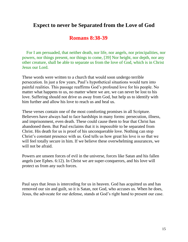#### **Expect to never be Separated from the Love of God**

#### **Romans 8:38-39**

 For I am persuaded, that neither death, nor life, nor angels, nor principalities, nor powers, nor things present, nor things to come, [39] Nor height, nor depth, nor any other creature, shall be able to separate us from the love of God, which is in Christ Jesus our Lord.

These words were written to a church that would soon undergo terrible persecution. In just a few years, Paul's hypothetical situations would turn into painful realities. This passage reaffirms God's profound love for his people. No matter what happens to us, no matter where we are, we can never be lost to his love. Suffering should not drive us away from God, but help us to identify with him further and allow his love to reach us and heal us.

These verses contain one of the most comforting promises in all Scripture. Believers have always had to face hardships in many forms: persecution, illness, and imprisonment, even death. These could cause them to fear that Christ has abandoned them. But Paul exclaims that it is *impossible* to be separated from Christ. His death for us is proof of his unconquerable love. Nothing can stop Christ's constant presence with us. God tells us how great his love is so that we will feel totally secure in him. If we believe these overwhelming assurances, we will not be afraid.

Powers are unseen forces of evil in the universe, forces like Satan and his fallen angels (see Ephes. 6:12). In Christ we are super-conquerors, and his love will protect us from any such forces.

Paul says that Jesus is interceding for us in heaven. God has acquitted us and has removed our sin and guilt, so it is Satan, not God, who accuses us. When he does, Jesus, the advocate for our defense, stands at God's right hand to present our case.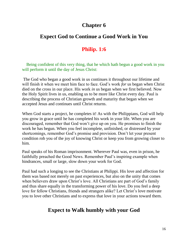### **Expect God to Continue a Good Work in You**

# **Philip. 1:6**

 Being confident of this very thing, that he which hath begun a good work in you will perform it until the day of Jesus Christ:

The God who began a good work in us continues it throughout our lifetime and will finish it when we meet him face to face. God's work *for* us began when Christ died on the cross in our place. His work *in* us began when we first believed. Now the Holy Spirit lives in us, enabling us to be more like Christ every day. Paul is describing the process of Christian growth and maturity that began when we accepted Jesus and continues until Christ returns.

When God starts a project, he completes it! As with the Philippians, God will help you grow in grace until he has completed his work in your life. When you are discouraged, remember that God won't give up on you. He promises to finish the work he has begun. When you feel incomplete, unfinished, or distressed by your shortcomings, remember God's promise and provision. Don't let your present condition rob you of the joy of knowing Christ or keep you from growing closer to him.

Paul speaks of his Roman imprisonment. Wherever Paul was, even in prison, he faithfully preached the Good News. Remember Paul's inspiring example when hindrances, small or large, slow down your work for God.

Paul had such a longing to see the Christians at Philippi. His love and affection for them was based not merely on past experiences, but also on the unity that comes when believers draw upon Christ's love. All Christians are part of God's family and thus share equally in the transforming power of his love. Do you feel a deep love for fellow Christians, friends and strangers alike? Let Christ's love motivate you to love other Christians and to express that love in your actions toward them.

### **Expect to Walk humbly with your God**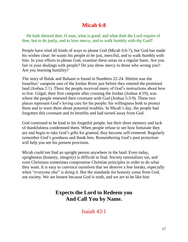### **Micah 6:8**

 He hath shewed thee, O man, what is good; and what doth the Lord require of thee, but to do justly, and to love mercy, and to walk humbly with thy God?

People have tried all kinds of ways to please God (Micah 6:6-7), but God has made his wishes clear: he wants his people to be just, merciful, and to walk humbly with him. In your efforts to please God, examine these areas on a regular basis. Are you fair in your dealings with people? Do you show mercy to those who wrong you? Are you learning humility?

The story of Balak and Balaam is found in Numbers 22-24. Shittim was the Israelites' campsite east of the Jordan River just before they entered the promised land (Joshua 2:1). There the people received many of God's instructions about how to live. Gilgal, their first campsite after crossing the Jordan (Joshua 4:19), was where the people renewed their covenant with God (Joshua 5:3-9). These two places represent God's loving care for his people: his willingness both to protect them and to warn them about potential troubles. In Micah's day, the people had forgotten this covenant and its benefits and had turned away from God.

God continued to be kind to his forgetful people, but their short memory and lack of thankfulness condemned them. When people refuse to see how fortunate they are and begin to take God's gifts for granted, they become self-centered. Regularly remember God's goodness and thank him. Remembering God's past protection will help you see his present provision.

Micah could not find an upright person anywhere in the land. Even today, uprightness (honesty, integrity) is difficult to find. Society rationalizes sin, and even Christians sometimes compromise Christian principles in order to do what they want. It is easy to convince ourselves that we deserve a few breaks, especially when "everyone else" is doing it. But the standards for honesty come from God, not society. We are honest because God is truth, and we are to be like him

### **Expects the Lord to Redeem you And Call You by Name.**

# Isaiah 43:1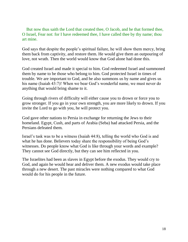#### But now thus saith the Lord that created thee, O Jacob, and he that formed thee, O Israel, Fear not: for I have redeemed thee, I have called thee by thy name; thou art mine.

God says that despite the people's spiritual failure, he will show them mercy, bring them back from captivity, and restore them. He would give them an outpouring of love, not wrath. Then the world would know that God alone had done this.

God created Israel and made it special to him. God redeemed Israel and summoned them by name to be those who belong to him. God protected Israel in times of trouble. We are important to God, and he also summons us by name and gives us his name (Isaiah 43:7)! When we bear God's wonderful name, we must never do anything that would bring shame to it.

Going through rivers of difficulty will either cause you to drown or force you to grow stronger. If you go in your own strength, you are more likely to drown. If you invite the Lord to go with you, he will protect you.

God gave other nations to Persia in exchange for returning the Jews to their homeland. Egypt, Cush, and parts of Arabia (Seba) had attacked Persia, and the Persians defeated them.

Israel's task was to be a witness (Isaiah 44:8), telling the world who God is and what he has done. Believers today share the responsibility of being God's witnesses. Do people know what God is like through your words and example? They cannot see God directly, but they can see him reflected in you.

The Israelites had been as slaves in Egypt before the exodus. They would cry to God, and again he would hear and deliver them. A new exodus would take place through a new desert. The past miracles were nothing compared to what God would do for his people in the future.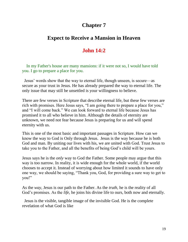### **Expect to Receive a Mansion in Heaven**

### **John 14:2**

 In my Father's house are many mansions: if it were not so, I would have told you. I go to prepare a place for you.

 Jesus' words show that the way to eternal life, though unseen, is secure—as secure as your trust in Jesus. He has already prepared the way to eternal life. The only issue that may still be unsettled is your willingness to believe.

There are few verses in Scripture that describe eternal life, but these few verses are rich with promises. Here Jesus says, "I am going there to prepare a place for you," and "I will come back." We can look forward to eternal life because Jesus has promised it to all who believe in him. Although the details of eternity are unknown, we need not fear because Jesus is preparing for us and will spend eternity with us.

This is one of the most basic and important passages in Scripture. How can we know the way to God is Only through Jesus. Jesus is the way because he is both God and man. By uniting our lives with his, we are united with God. Trust Jesus to take you to the Father, and all the benefits of being God's child will be yours.

Jesus says he is the *only* way to God the Father. Some people may argue that this way is too narrow. In reality, it is wide enough for the whole world, if the world chooses to accept it. Instead of worrying about how limited it sounds to have only one way, we should be saying, "Thank you, God, for providing a sure way to get to you!"

As the *way,* Jesus is our path to the Father. As the *truth,* he is the reality of all God's promises. As the *life,* he joins his divine life to ours, both now and eternally.

 Jesus is the visible, tangible image of the invisible God. He is the complete revelation of what God is like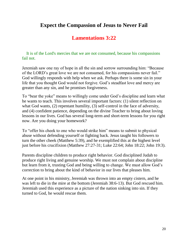### **Expect the Compassion of Jesus to Never Fail**

### **Lamentations 3:22**

 It is of the Lord's mercies that we are not consumed, because his compassions fail not.

Jeremiah saw one ray of hope in all the sin and sorrow surrounding him: "Because of the LORD's great love we are not consumed, for his compassions never fail." God willingly responds with help when we ask. Perhaps there is some sin in your life that you thought God would not forgive. God's steadfast love and mercy are greater than any sin, and he promises forgiveness.

To "bear the yoke" means to willingly come under God's discipline and learn what he wants to teach. This involves several important factors: (1) silent reflection on what God wants, (2) repentant humility, (3) self-control in the face of adversity, and (4) confident patience, depending on the divine Teacher to bring about loving lessons in our lives. God has several long-term and short-term lessons for you right now. Are you doing your homework?

To "offer his cheek to one who would strike him" means to submit to physical abuse without defending yourself or fighting back. Jesus taught his followers to turn the other cheek (Matthew 5:39), and he exemplified this at the highest level just before his crucifixion (Matthew 27:27-31; Luke 22:64; John 18:22; John 19:3).

Parents discipline children to produce right behavior. God disciplined Judah to produce right living and genuine worship. We must not complain about discipline but learn from it, trusting God and being willing to change. We must allow God's correction to bring about the kind of behavior in our lives that pleases him.

At one point in his ministry, Jeremiah was thrown into an empty cistern, and he was left to die in the mire at the bottom (Jeremiah 38:6-13). But God rescued him. Jeremiah used this experience as a picture of the nation sinking into sin. If they turned to God, he would rescue them.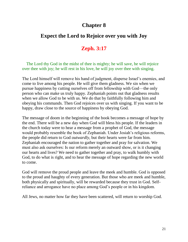### **Expect the Lord to Rejoice over you with Joy**

## **Zeph. 3:17**

 The Lord thy God in the midst of thee is mighty; he will save, he will rejoice over thee with joy; he will rest in his love, he will joy over thee with singing.

The Lord himself will remove his hand of judgment, disperse Israel's enemies, and come to live among his people. He will give them gladness. We sin when we pursue happiness by cutting ourselves off from fellowship with God—the only person who can make us truly happy. Zephaniah points out that gladness results when we allow God to be with us. We do that by faithfully following him and obeying his commands. Then God rejoices over us with singing. If you want to be happy, draw close to the source of happiness by obeying God.

The message of doom in the beginning of the book becomes a message of hope by the end. There will be a new day when God will bless his people. If the leaders in the church today were to hear a message from a prophet of God, the message would probably resemble the book of Zephaniah. Under Josiah's religious reforms, the people did return to God *outwardly,* but their hearts were far from him. Zephaniah encouraged the nation to gather together and pray for salvation. We must also ask ourselves: Is our reform merely an outward show, or is it changing our hearts and lives? We need to gather together and pray, to walk humbly with God, to do what is right, and to hear the message of hope regarding the new world to come.

God will remove the proud people and leave the meek and humble. God is opposed to the proud and haughty of every generation. But those who are meek and humble, both physically and spiritually, will be rewarded because they trust in God. Selfreliance and arrogance have no place among God's people or in his kingdom.

All Jews, no matter how far they have been scattered, will return to worship God.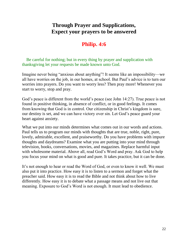### **Through Prayer and Supplications, Expect your prayers to be answered**

### **Philip. 4:6**

 Be careful for nothing; but in every thing by prayer and supplication with thanksgiving let your requests be made known unto God.

Imagine never being "anxious about anything"! It seems like an impossibility—we all have worries on the job, in our homes, at school. But Paul's advice is to turn our worries into prayers. Do you want to worry less? Then pray more! Whenever you start to worry, stop and pray.

God's peace is different from the world's peace (see John 14:27). True peace is not found in positive thinking, in absence of conflict, or in good feelings. It comes from knowing that God is in control. Our citizenship in Christ's kingdom is sure, our destiny is set, and we can have victory over sin. Let God's peace guard your heart against anxiety.

What we put into our minds determines what comes out in our words and actions. Paul tells us to program our minds with thoughts that are true, noble, right, pure, lovely, admirable, excellent, and praiseworthy. Do you have problems with impure thoughts and daydreams? Examine what you are putting into your mind through television, books, conversations, movies, and magazines. Replace harmful input with wholesome material. Above all, read God's Word and pray. Ask God to help you focus your mind on what is good and pure. It takes practice, but it can be done.

It's not enough to hear or read the Word of God, or even to know it well. We must also put it into practice. How easy it is to listen to a sermon and forget what the preacher said. How easy it is to read the Bible and not think about how to live differently. How easy it is to debate what a passage means and not live out that meaning. Exposure to God's Word is not enough. It must lead to obedience.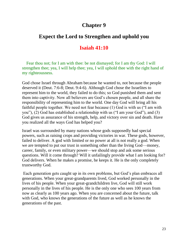### **Expect the Lord to Strengthen and uphold you**

#### **Isaiah 41:10**

 Fear thou not; for I am with thee: be not dismayed; for I am thy God: I will strengthen thee; yea, I will help thee; yea, I will uphold thee with the right hand of my righteousness.

God chose Israel through Abraham because he wanted to, not because the people deserved it (Deut. 7:6-8; Deut. 9:4-6). Although God chose the Israelites to represent him to the world, they failed to do this; so God punished them and sent them into captivity. Now all believers are God's chosen people, and all share the responsibility of representing him to the world. One day God will bring all his faithful people together. We need not fear because (1) God is with us ("I am with you"), (2) God has established a relationship with us ("I am your God"), and (3) God gives us assurance of his strength, help, and victory over sin and death. Have you realized all the ways God has helped you?

Israel was surrounded by many nations whose gods supposedly had special powers, such as raising crops and providing victories in war. These gods, however, failed to deliver. A god with limited or no power at all is not really a god. When we are tempted to put our trust in something other than the living God—money, career, family, or even military power—we should stop and ask some serious questions. Will it come through? Will it unfailingly provide what I am looking for? God delivers. When he makes a promise, he keeps it. He is the only completely trustworthy God.

Each generation gets caught up in its own problems, but God's plan embraces all generations. When your great-grandparents lived, God worked personally in the lives of his people. When your great-grandchildren live, God will still work personally in the lives of his people. He is the only one who sees 100 years from now as clearly as 100 years ago. When you are concerned about the future, talk with God, who knows the generations of the future as well as he knows the generations of the past.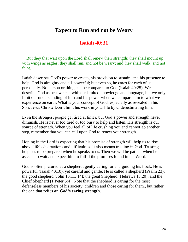#### **Expect to Run and not be Weary**

#### **Isaiah 40:31**

 But they that wait upon the Lord shall renew their strength; they shall mount up with wings as eagles; they shall run, and not be weary; and they shall walk, and not faint.

Isaiah describes God's power to create, his provision to sustain, and his presence to help. God is almighty and all-powerful; but even so, he cares for each of us personally. No person or thing can be compared to God (Isaiah 40:25). We describe God as best we can with our limited knowledge and language, but we only limit our understanding of him and his power when we compare him to what we experience on earth. What is your concept of God, especially as revealed in his Son, Jesus Christ? Don't limit his work in your life by underestimating him.

Even the strongest people get tired at times, but God's power and strength never diminish. He is never too tired or too busy to help and listen. His strength is our source of strength. When you feel all of life crushing you and cannot go another step, remember that you can call upon God to renew your strength.

Hoping in the Lord is expecting that his promise of strength will help us to rise above life's distractions and difficulties. It also means trusting in God. Trusting helps us to be prepared when he speaks to us. Then we will be patient when he asks us to wait and expect him to fulfill the promises found in his Word.

God is often pictured as a shepherd, gently caring for and guiding his flock. He is powerful (Isaiah 40:10), yet careful and gentle. He is called a shepherd (Psalm 23); the good shepherd (John 10:11, 14); the great Shepherd (Hebrews 13:20); and the Chief Shepherd (1 Peter 5:4). Note that the shepherd is caring for the most defenseless members of his society: children and those caring for them., but rather the one that **relies on God's caring strength.**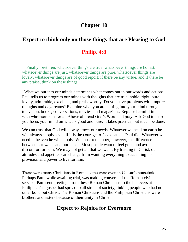#### **Expect to think only on those things that are Pleasing to God**

#### **Philip. 4:8**

 Finally, brethren, whatsoever things are true, whatsoever things are honest, whatsoever things are just, whatsoever things are pure, whatsoever things are lovely, whatsoever things are of good report; if there be any virtue, and if there be any praise, think on these things.

What we put into our minds determines what comes out in our words and actions. Paul tells us to program our minds with thoughts that are true, noble, right, pure, lovely, admirable, excellent, and praiseworthy. Do you have problems with impure thoughts and daydreams? Examine what you are putting into your mind through television, books, conversations, movies, and magazines. Replace harmful input with wholesome material. Above all, read God's Word and pray. Ask God to help you focus your mind on what is good and pure. It takes practice, but it can be done.

We can trust that God will always meet our needs. Whatever we need on earth he will always supply, even if it is the courage to face death as Paul did. Whatever we need in heaven he will supply. We must remember, however, the difference between our wants and our needs. Most people want to feel good and avoid discomfort or pain. We may not get all that we want. By trusting in Christ, our attitudes and appetites can change from wanting everything to accepting his provision and power to live for him.

There were many Christians in Rome; some were even in Caesar's household. Perhaps Paul, while awaiting trial, was making converts of the Roman civil service! Paul sent greetings from these Roman Christians to the believers at Philippi. The gospel had spread to all strata of society, linking people who had no other bond but Christ. The Roman Christians and the Philippian Christians were brothers and sisters because of their unity in Christ.

### **Expect to Rejoice for Evermore**